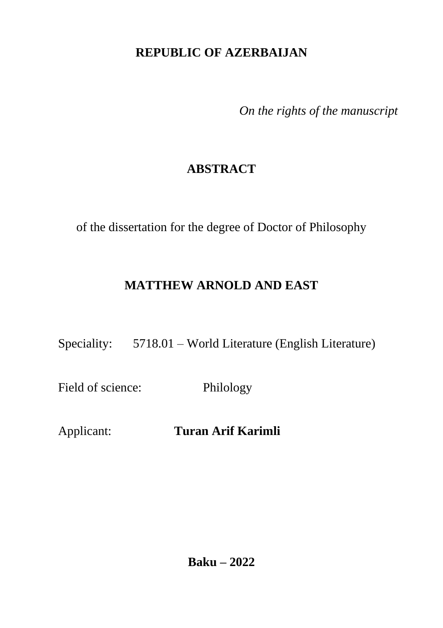### **REPUBLIC OF AZERBAIJAN**

*On the rights of the manuscript*

# **ABSTRACT**

of the dissertation for the degree of Doctor of Philosophy

# **MATTHEW ARNOLD AND EAST**

Speciality: 5718.01 – World Literature (English Literature)

Field of science: Philology

Applicant: **Turan Arif Karimli**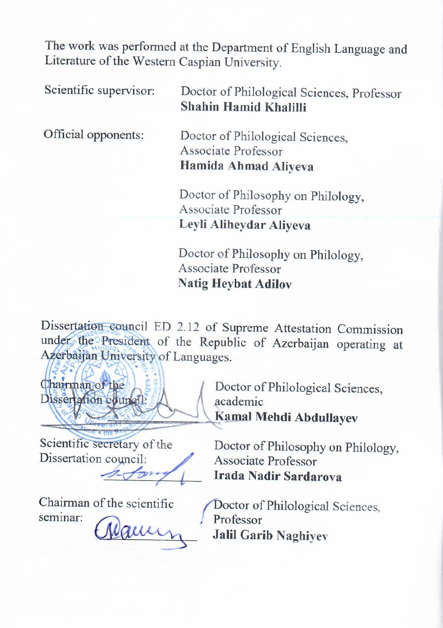The work was performed at the Department of English Language and Literature of the Western Caspian University.

| Scientific supervisor: | Doctor of Philological Sciences, Professor<br>Shahin Hamid Khalilli             |
|------------------------|---------------------------------------------------------------------------------|
| Official opponents:    | Doctor of Philological Sciences,<br>Associate Professor<br>Hamida Ahmad Aliyeva |
|                        | Doctor of Philosophy on Philology,<br>Associate Professor                       |
|                        | Leyli Aliheydar Aliyeva                                                         |
|                        | Doctor of Philosophy on Philology,<br>Associate Professor                       |

Dissertation council ED 2.12 of Supreme Attestation Commission under the President of the Republic of Azerbaijan operating at Azerbaijan University of Languages.

**Natig Heybat Adilov**

Chairman of the Dissertation council: Pode in region

Scientific secretary of the Dissertation council:

 $\mathscr{D}$ 

Chairman of the scientific seminar:

reaum

Doctor of Philological Sciences, academic **Kamal Mehdi Abdullayev**

Doctor of Philosophy on Philology, Associate Professor **Irada Nadir Sardarova**

Doctor of Philological Sciences*,* Professor **Jalil Garib Naghiyev**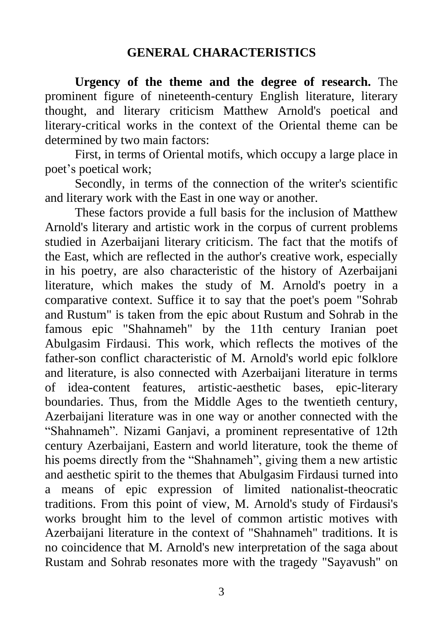#### **GENERAL CHARACTERISTICS**

**Urgency of the theme and the degree of research.** The prominent figure of nineteenth-century English literature, literary thought, and literary criticism Matthew Arnold's poetical and literary-critical works in the context of the Oriental theme can be determined by two main factors:

First, in terms of Oriental motifs, which occupy a large place in poet's poetical work;

Secondly, in terms of the connection of the writer's scientific and literary work with the East in one way or another.

These factors provide a full basis for the inclusion of Matthew Arnold's literary and artistic work in the corpus of current problems studied in Azerbaijani literary criticism. The fact that the motifs of the East, which are reflected in the author's creative work, especially in his poetry, are also characteristic of the history of Azerbaijani literature, which makes the study of M. Arnold's poetry in a comparative context. Suffice it to say that the poet's poem "Sohrab and Rustum" is taken from the epic about Rustum and Sohrab in the famous epic "Shahnameh" by the 11th century Iranian poet Abulgasim Firdausi. This work, which reflects the motives of the father-son conflict characteristic of M. Arnold's world epic folklore and literature, is also connected with Azerbaijani literature in terms of idea-content features, artistic-aesthetic bases, epic-literary boundaries. Thus, from the Middle Ages to the twentieth century, Azerbaijani literature was in one way or another connected with the "Shahnameh". Nizami Ganjavi, a prominent representative of 12th century Azerbaijani, Eastern and world literature, took the theme of his poems directly from the "Shahnameh", giving them a new artistic and aesthetic spirit to the themes that Abulgasim Firdausi turned into a means of epic expression of limited nationalist-theocratic traditions. From this point of view, M. Arnold's study of Firdausi's works brought him to the level of common artistic motives with Azerbaijani literature in the context of "Shahnameh" traditions. It is no coincidence that M. Arnold's new interpretation of the saga about Rustam and Sohrab resonates more with the tragedy "Sayavush" on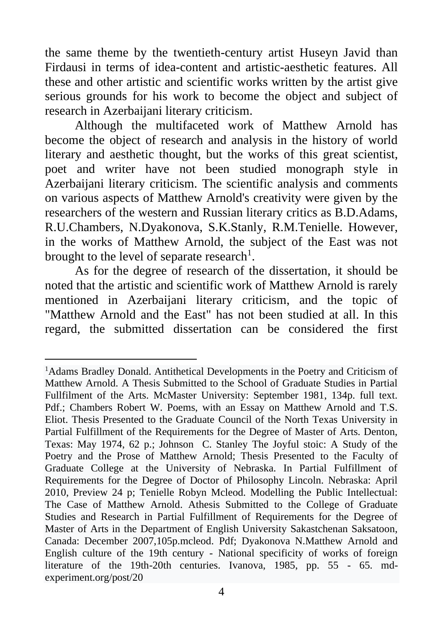the same theme by the twentieth-century artist Huseyn Javid than Firdausi in terms of idea-content and artistic-aesthetic features. All these and other artistic and scientific works written by the artist give serious grounds for his work to become the object and subject of research in Azerbaijani literary criticism.

Although the multifaceted work of Matthew Arnold has become the object of research and analysis in the history of world literary and aesthetic thought, but the works of this great scientist, poet and writer have not been studied monograph style in Azerbaijani literary criticism. The scientific analysis and comments on various aspects of Matthew Arnold's creativity were given by the researchers of the western and Russian literary critics as B.D.Adams, R.U.Chambers, N.Dyakonova, S.K.Stanly, R.M.Tenielle. However, in the works of Matthew Arnold, the subject of the East was not brought to the level of separate research<sup>1</sup>.

As for the degree of research of the dissertation, it should be noted that the artistic and scientific work of Matthew Arnold is rarely mentioned in Azerbaijani literary criticism, and the topic of "Matthew Arnold and the East" has not been studied at all. In this regard, the submitted dissertation can be considered the first

<sup>1</sup>Adams Bradley Donald. Antithetical Developments in the Poetry and Criticism of Matthew Arnold. A Thesis Submitted to the School of Graduate Studies in Partial Fullfilment of the Arts. McMaster University: September 1981, 134p. full text. Pdf.; Chambers Robert W. Poems, with an Essay on Matthew Arnold and T.S. Eliot. Thesis Presented to the Graduate Council of the North Texas University in Partial Fulfillment of the Requirements for the Degree of Master of Arts. Denton, Texas: May 1974, 62 p.; Johnson C. Stanley The Joyful stoic: A Study of the Poetry and the Prose of Matthew Arnold; Thesis Presented to the Faculty of Graduate College at the University of Nebraska. In Partial Fulfillment of Requirements for the Degree of Doctor of Philosophy Lincoln. Nebraska: April 2010, Preview 24 p; Tenielle Robyn Mcleod. Modelling the Public Intellectual: The Case of Matthew Arnold. Athesis Submitted to the College of Graduate Studies and Research in Partial Fulfillment of Requirements for the Degree of Master of Arts in the Department of English University Sakastchenan Saksatoon, Canada: December 2007,105p.mcleod. Pdf; Dyakonova N.Matthew Arnold and English culture of the 19th century - National specificity of works of foreign literature of the 19th-20th centuries. Ivanova, 1985, pp. 55 - 65. mdexperiment.org/post/20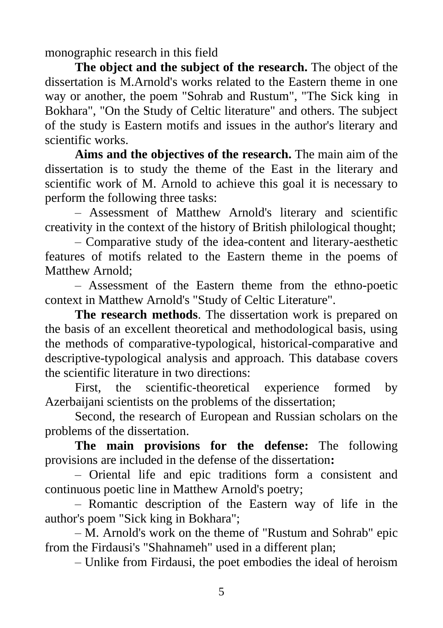monographic research in this field

**The object and the subject of the research.** The object of the dissertation is M.Arnold's works related to the Eastern theme in one way or another, the poem "Sohrab and Rustum", "The Sick king in Bokhara", "On the Study of Celtic literature" and others. The subject of the study is Eastern motifs and issues in the author's literary and scientific works.

**Aims and the objectives of the research.** The main aim of the dissertation is to study the theme of the East in the literary and scientific work of M. Arnold to achieve this goal it is necessary to perform the following three tasks:

– Assessment of Matthew Arnold's literary and scientific creativity in the context of the history of British philological thought;

– Comparative study of the idea-content and literary-aesthetic features of motifs related to the Eastern theme in the poems of Matthew Arnold;

– Assessment of the Eastern theme from the ethno-poetic context in Matthew Arnold's "Study of Celtic Literature".

**The research methods**. The dissertation work is prepared on the basis of an excellent theoretical and methodological basis, using the methods of comparative-typological, historical-comparative and descriptive-typological analysis and approach. This database covers the scientific literature in two directions:

First, the scientific-theoretical experience formed by Azerbaijani scientists on the problems of the dissertation;

Second, the research of European and Russian scholars on the problems of the dissertation.

**The main provisions for the defense:** The following provisions are included in the defense of the dissertation**:**

– Oriental life and epic traditions form a consistent and continuous poetic line in Matthew Arnold's poetry;

– Romantic description of the Eastern way of life in the author's poem "Sick king in Bokhara";

– M. Arnold's work on the theme of "Rustum and Sohrab" epic from the Firdausi's "Shahnameh" used in a different plan;

– Unlike from Firdausi, the poet embodies the ideal of heroism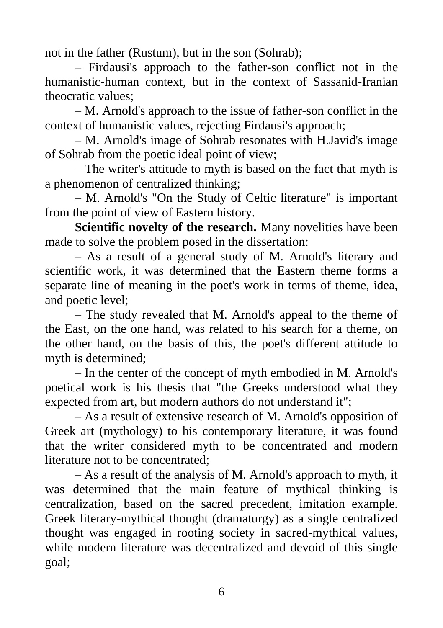not in the father (Rustum), but in the son (Sohrab);

– Firdausi's approach to the father-son conflict not in the humanistic-human context, but in the context of Sassanid-Iranian theocratic values;

– M. Arnold's approach to the issue of father-son conflict in the context of humanistic values, rejecting Firdausi's approach;

– M. Arnold's image of Sohrab resonates with H.Javid's image of Sohrab from the poetic ideal point of view;

– The writer's attitude to myth is based on the fact that myth is a phenomenon of centralized thinking;

– M. Arnold's "On the Study of Celtic literature" is important from the point of view of Eastern history.

**Scientific novelty of the research.** Many novelities have been made to solve the problem posed in the dissertation:

– As a result of a general study of M. Arnold's literary and scientific work, it was determined that the Eastern theme forms a separate line of meaning in the poet's work in terms of theme, idea, and poetic level;

– The study revealed that M. Arnold's appeal to the theme of the East, on the one hand, was related to his search for a theme, on the other hand, on the basis of this, the poet's different attitude to myth is determined;

– In the center of the concept of myth embodied in M. Arnold's poetical work is his thesis that "the Greeks understood what they expected from art, but modern authors do not understand it";

– As a result of extensive research of M. Arnold's opposition of Greek art (mythology) to his contemporary literature, it was found that the writer considered myth to be concentrated and modern literature not to be concentrated;

– As a result of the analysis of M. Arnold's approach to myth, it was determined that the main feature of mythical thinking is centralization, based on the sacred precedent, imitation example. Greek literary-mythical thought (dramaturgy) as a single centralized thought was engaged in rooting society in sacred-mythical values, while modern literature was decentralized and devoid of this single goal;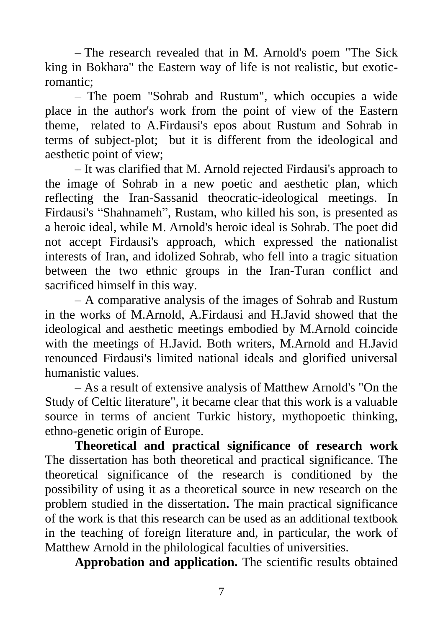– The research revealed that in M. Arnold's poem "The Sick king in Bokhara" the Eastern way of life is not realistic, but exoticromantic;

– The poem "Sohrab and Rustum", which occupies a wide place in the author's work from the point of view of the Eastern theme, related to A.Firdausi's epos about Rustum and Sohrab in terms of subject-plot; but it is different from the ideological and aesthetic point of view;

– It was clarified that M. Arnold rejected Firdausi's approach to the image of Sohrab in a new poetic and aesthetic plan, which reflecting the Iran-Sassanid theocratic-ideological meetings. In Firdausi's "Shahnameh", Rustam, who killed his son, is presented as a heroic ideal, while M. Arnold's heroic ideal is Sohrab. The poet did not accept Firdausi's approach, which expressed the nationalist interests of Iran, and idolized Sohrab, who fell into a tragic situation between the two ethnic groups in the Iran-Turan conflict and sacrificed himself in this way.

– A comparative analysis of the images of Sohrab and Rustum in the works of M.Arnold, A.Firdausi and H.Javid showed that the ideological and aesthetic meetings embodied by M.Arnold coincide with the meetings of H.Javid. Both writers, M.Arnold and H.Javid renounced Firdausi's limited national ideals and glorified universal humanistic values.

– As a result of extensive analysis of Matthew Arnold's "On the Study of Celtic literature", it became clear that this work is a valuable source in terms of ancient Turkic history, mythopoetic thinking, ethno-genetic origin of Europe.

**Theoretical and practical significance of research work**  The dissertation has both theoretical and practical significance. The theoretical significance of the research is conditioned by the possibility of using it as a theoretical source in new research on the problem studied in the dissertation**.** The main practical significance of the work is that this research can be used as an additional textbook in the teaching of foreign literature and, in particular, the work of Matthew Arnold in the philological faculties of universities.

**Approbation and application.** The scientific results obtained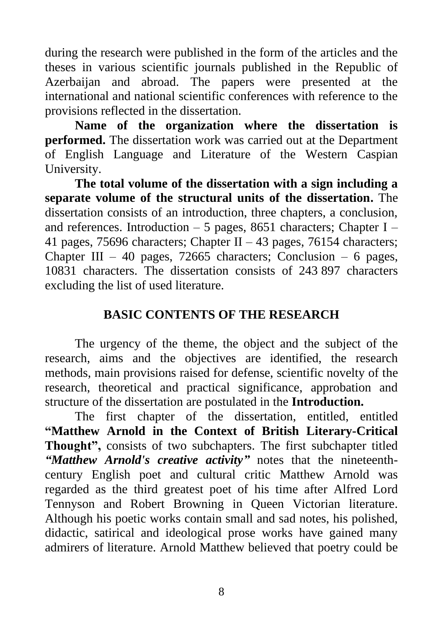during the research were published in the form of the articles and the theses in various scientific journals published in the Republic of Azerbaijan and abroad. The papers were presented at the international and national scientific conferences with reference to the provisions reflected in the dissertation.

**Name of the organization where the dissertation is performed.** The dissertation work was carried out at the Department of English Language and Literature of the Western Caspian University.

**The total volume of the dissertation with a sign including a separate volume of the structural units of the dissertation.** The dissertation consists of an introduction, three chapters, a conclusion, and references. Introduction – 5 pages, 8651 characters; Chapter I – 41 pages, 75696 characters; Chapter II – 43 pages, 76154 characters; Chapter III – 40 pages, 72665 characters; Conclusion – 6 pages, 10831 characters. The dissertation consists of 243 897 characters excluding the list of used literature.

#### **BASIC CONTENTS OF THE RESEARCH**

The urgency of the theme, the object and the subject of the research, aims and the objectives are identified, the research methods, main provisions raised for defense, scientific novelty of the research, theoretical and practical significance, approbation and structure of the dissertation are postulated in the **Introduction.**

The first chapter of the dissertation, entitled, entitled **"Matthew Arnold in the Context of British Literary-Critical Thought",** consists of two subchapters. The first subchapter titled *"Matthew Arnold's creative activity"* notes that the nineteenthcentury English poet and cultural critic Matthew Arnold was regarded as the third greatest poet of his time after Alfred Lord Tennyson and Robert Browning in Queen Victorian literature. Although his poetic works contain small and sad notes, his polished, didactic, satirical and ideological prose works have gained many admirers of literature. Arnold Matthew believed that poetry could be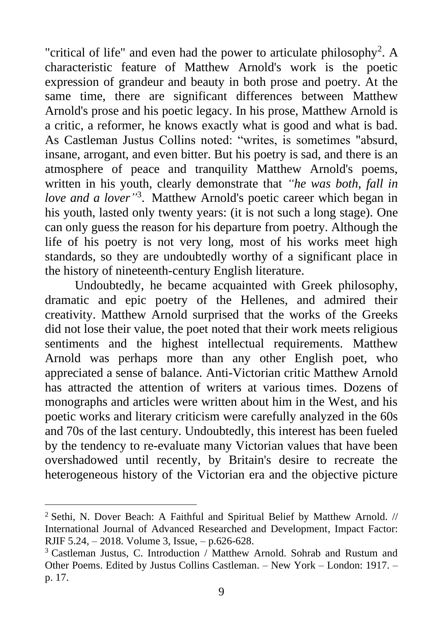"critical of life" and even had the power to articulate philosophy<sup>2</sup>. A characteristic feature of Matthew Arnold's work is the poetic expression of grandeur and beauty in both prose and poetry. At the same time, there are significant differences between Matthew Arnold's prose and his poetic legacy. In his prose, Matthew Arnold is a critic, a reformer, he knows exactly what is good and what is bad. As Castleman Justus Collins noted: "writes, is sometimes "absurd, insane, arrogant, and even bitter. But his poetry is sad, and there is an atmosphere of peace and tranquility Matthew Arnold's poems, written in his youth, clearly demonstrate that *"he was both, fall in love and a lover"* 3 . Matthew Arnold's poetic career which began in his youth, lasted only twenty years: (it is not such a long stage). One can only guess the reason for his departure from poetry. Although the life of his poetry is not very long, most of his works meet high standards, so they are undoubtedly worthy of a significant place in the history of nineteenth-century English literature.

Undoubtedly, he became acquainted with Greek philosophy, dramatic and epic poetry of the Hellenes, and admired their creativity. Matthew Arnold surprised that the works of the Greeks did not lose their value, the poet noted that their work meets religious sentiments and the highest intellectual requirements. Matthew Arnold was perhaps more than any other English poet, who appreciated a sense of balance. Anti-Victorian critic Matthew Arnold has attracted the attention of writers at various times. Dozens of monographs and articles were written about him in the West, and his poetic works and literary criticism were carefully analyzed in the 60s and 70s of the last century. Undoubtedly, this interest has been fueled by the tendency to re-evaluate many Victorian values that have been overshadowed until recently, by Britain's desire to recreate the heterogeneous history of the Victorian era and the objective picture

<sup>&</sup>lt;sup>2</sup> Sethi, N. Dover Beach: A Faithful and Spiritual Belief by Matthew Arnold. // International Journal of Advanced Researched and Development, Impact Factor: RJIF 5.24, – 2018. Volume 3, Issue, – p.626-628.

<sup>&</sup>lt;sup>3</sup> Castleman Justus, C. Introduction / Matthew Arnold. Sohrab and Rustum and Other Poems. Edited by Justus Collins Castleman. – New York – London: 1917. – p. 17.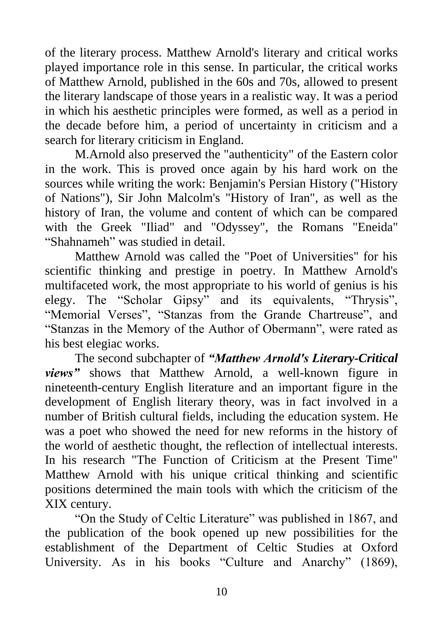of the literary process. Matthew Arnold's literary and critical works played importance role in this sense. In particular, the critical works of Matthew Arnold, published in the 60s and 70s, allowed to present the literary landscape of those years in a realistic way. It was a period in which his aesthetic principles were formed, as well as a period in the decade before him, a period of uncertainty in criticism and a search for literary criticism in England.

M.Arnold also preserved the "authenticity" of the Eastern color in the work. This is proved once again by his hard work on the sources while writing the work: Benjamin's Persian History ("History of Nations"), Sir John Malcolm's "History of Iran", as well as the history of Iran, the volume and content of which can be compared with the Greek "Iliad" and "Odyssey", the Romans "Eneida" "Shahnameh" was studied in detail.

Matthew Arnold was called the "Poet of Universities" for his scientific thinking and prestige in poetry. In Matthew Arnold's multifaceted work, the most appropriate to his world of genius is his elegy. The "Scholar Gipsy" and its equivalents, "Thrysis", "Memorial Verses", "Stanzas from the Grande Chartreuse", and "Stanzas in the Memory of the Author of Obermann", were rated as his best elegiac works.

The second subchapter of *"Matthew Arnold's Literary-Critical views"* shows that Matthew Arnold, a well-known figure in nineteenth-century English literature and an important figure in the development of English literary theory, was in fact involved in a number of British cultural fields, including the education system. He was a poet who showed the need for new reforms in the history of the world of aesthetic thought, the reflection of intellectual interests. In his research "The Function of Criticism at the Present Time" Matthew Arnold with his unique critical thinking and scientific positions determined the main tools with which the criticism of the XIX century.

"On the Study of Celtic Literature" was published in 1867, and the publication of the book opened up new possibilities for the establishment of the Department of Celtic Studies at Oxford University. As in his books "Culture and Anarchy" (1869),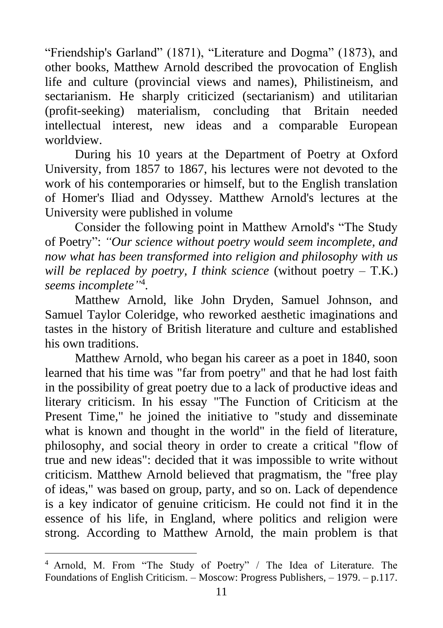"Friendship's Garland" (1871), "Literature and Dogma" (1873), and other books, Matthew Arnold described the provocation of English life and culture (provincial views and names), Philistineism, and sectarianism. He sharply criticized (sectarianism) and utilitarian (profit-seeking) materialism, concluding that Britain needed intellectual interest, new ideas and a comparable European worldview.

During his 10 years at the Department of Poetry at Oxford University, from 1857 to 1867, his lectures were not devoted to the work of his contemporaries or himself, but to the English translation of Homer's Iliad and Odyssey. Matthew Arnold's lectures at the University were published in volume

Consider the following point in Matthew Arnold's "The Study of Poetry": *"Our science without poetry would seem incomplete, and now what has been transformed into religion and philosophy with us will be replaced by poetry, I think science* (without poetry – T.K.) *seems incomplete"* 4 *.*

Matthew Arnold, like John Dryden, Samuel Johnson, and Samuel Taylor Coleridge, who reworked aesthetic imaginations and tastes in the history of British literature and culture and established his own traditions.

Matthew Arnold, who began his career as a poet in 1840, soon learned that his time was "far from poetry" and that he had lost faith in the possibility of great poetry due to a lack of productive ideas and literary criticism. In his essay "The Function of Criticism at the Present Time," he joined the initiative to "study and disseminate what is known and thought in the world" in the field of literature, philosophy, and social theory in order to create a critical "flow of true and new ideas": decided that it was impossible to write without criticism. Matthew Arnold believed that pragmatism, the "free play of ideas," was based on group, party, and so on. Lack of dependence is a key indicator of genuine criticism. He could not find it in the essence of his life, in England, where politics and religion were strong. According to Matthew Arnold, the main problem is that

<sup>4</sup> Arnold, M. From "The Study of Poetry" / The Idea of Literature. The Foundations of English Criticism. – Moscow: Progress Publishers, – 1979. – p.117.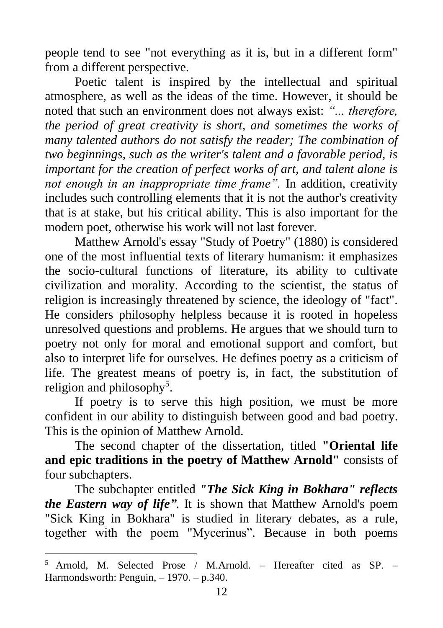people tend to see "not everything as it is, but in a different form" from a different perspective.

Poetic talent is inspired by the intellectual and spiritual atmosphere, as well as the ideas of the time. However, it should be noted that such an environment does not always exist: *"... therefore, the period of great creativity is short, and sometimes the works of many talented authors do not satisfy the reader; The combination of two beginnings, such as the writer's talent and a favorable period, is important for the creation of perfect works of art, and talent alone is not enough in an inappropriate time frame".* In addition, creativity includes such controlling elements that it is not the author's creativity that is at stake, but his critical ability. This is also important for the modern poet, otherwise his work will not last forever.

Matthew Arnold's essay "Study of Poetry" (1880) is considered one of the most influential texts of literary humanism: it emphasizes the socio-cultural functions of literature, its ability to cultivate civilization and morality. According to the scientist, the status of religion is increasingly threatened by science, the ideology of "fact". He considers philosophy helpless because it is rooted in hopeless unresolved questions and problems. He argues that we should turn to poetry not only for moral and emotional support and comfort, but also to interpret life for ourselves. He defines poetry as a criticism of life. The greatest means of poetry is, in fact, the substitution of religion and philosophy<sup>5</sup>.

If poetry is to serve this high position, we must be more confident in our ability to distinguish between good and bad poetry. This is the opinion of Matthew Arnold.

The second chapter of the dissertation, titled **"Oriental life and epic traditions in the poetry of Matthew Arnold"** consists of four subchapters.

The subchapter entitled *"The Sick King in Bokhara" reflects the Eastern way of life"*. It is shown that Matthew Arnold's poem "Sick King in Bokhara" is studied in literary debates, as a rule, together with the poem "Mycerinus". Because in both poems

<sup>5</sup> Arnold, M. Selected Prose / M.Arnold. – Hereafter cited as SP. – Harmondsworth: Penguin,  $-1970$ .  $- p.340$ .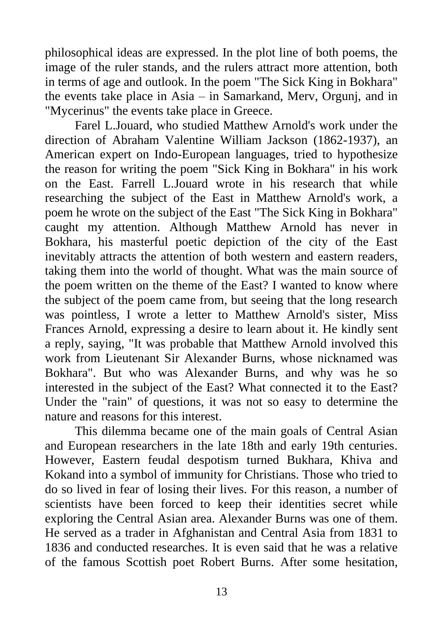philosophical ideas are expressed. In the plot line of both poems, the image of the ruler stands, and the rulers attract more attention, both in terms of age and outlook. In the poem "The Sick King in Bokhara" the events take place in Asia – in Samarkand, Merv, Orgunj, and in "Mycerinus" the events take place in Greece.

Farel L.Jouard, who studied Matthew Arnold's work under the direction of Abraham Valentine William Jackson (1862-1937), an American expert on Indo-European languages, tried to hypothesize the reason for writing the poem "Sick King in Bokhara" in his work on the East. Farrell L.Jouard wrote in his research that while researching the subject of the East in Matthew Arnold's work, a poem he wrote on the subject of the East "The Sick King in Bokhara" caught my attention. Although Matthew Arnold has never in Bokhara, his masterful poetic depiction of the city of the East inevitably attracts the attention of both western and eastern readers, taking them into the world of thought. What was the main source of the poem written on the theme of the East? I wanted to know where the subject of the poem came from, but seeing that the long research was pointless, I wrote a letter to Matthew Arnold's sister, Miss Frances Arnold, expressing a desire to learn about it. He kindly sent a reply, saying, "It was probable that Matthew Arnold involved this work from Lieutenant Sir Alexander Burns, whose nicknamed was Bokhara". But who was Alexander Burns, and why was he so interested in the subject of the East? What connected it to the East? Under the "rain" of questions, it was not so easy to determine the nature and reasons for this interest.

This dilemma became one of the main goals of Central Asian and European researchers in the late 18th and early 19th centuries. However, Eastern feudal despotism turned Bukhara, Khiva and Kokand into a symbol of immunity for Christians. Those who tried to do so lived in fear of losing their lives. For this reason, a number of scientists have been forced to keep their identities secret while exploring the Central Asian area. Alexander Burns was one of them. He served as a trader in Afghanistan and Central Asia from 1831 to 1836 and conducted researches. It is even said that he was a relative of the famous Scottish poet Robert Burns. After some hesitation,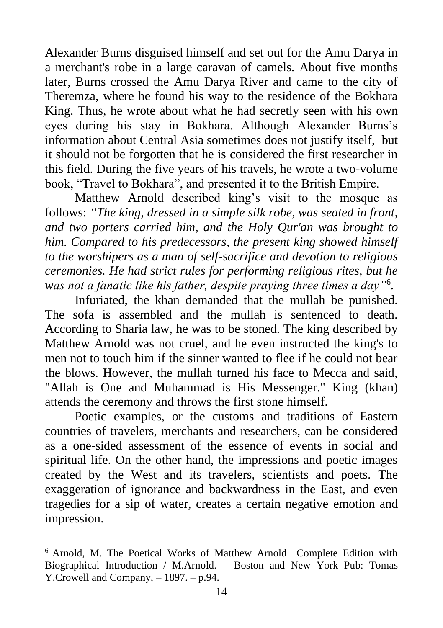Alexander Burns disguised himself and set out for the Amu Darya in a merchant's robe in a large caravan of camels. About five months later, Burns crossed the Amu Darya River and came to the city of Theremza, where he found his way to the residence of the Bokhara King. Thus, he wrote about what he had secretly seen with his own eyes during his stay in Bokhara. Although Alexander Burns's information about Central Asia sometimes does not justify itself, but it should not be forgotten that he is considered the first researcher in this field. During the five years of his travels, he wrote a two-volume book, "Travel to Bokhara", and presented it to the British Empire.

Matthew Arnold described king's visit to the mosque as follows: *"The king, dressed in a simple silk robe, was seated in front, and two porters carried him, and the Holy Qur'an was brought to him. Compared to his predecessors, the present king showed himself to the worshipers as a man of self-sacrifice and devotion to religious ceremonies. He had strict rules for performing religious rites, but he was not a fanatic like his father, despite praying three times a day"*<sup>6</sup> *.*

Infuriated, the khan demanded that the mullah be punished. The sofa is assembled and the mullah is sentenced to death. According to Sharia law, he was to be stoned. The king described by Matthew Arnold was not cruel, and he even instructed the king's to men not to touch him if the sinner wanted to flee if he could not bear the blows. However, the mullah turned his face to Mecca and said, "Allah is One and Muhammad is His Messenger." King (khan) attends the ceremony and throws the first stone himself.

Poetic examples, or the customs and traditions of Eastern countries of travelers, merchants and researchers, can be considered as a one-sided assessment of the essence of events in social and spiritual life. On the other hand, the impressions and poetic images created by the West and its travelers, scientists and poets. The exaggeration of ignorance and backwardness in the East, and even tragedies for a sip of water, creates a certain negative emotion and impression.

<sup>6</sup> Arnold, M. The Poetical Works of Matthew Arnold Complete Edition with Biographical Introduction / M.Arnold. – Boston and New York Pub: Tomas Y.Crowell and Company, – 1897. – p.94.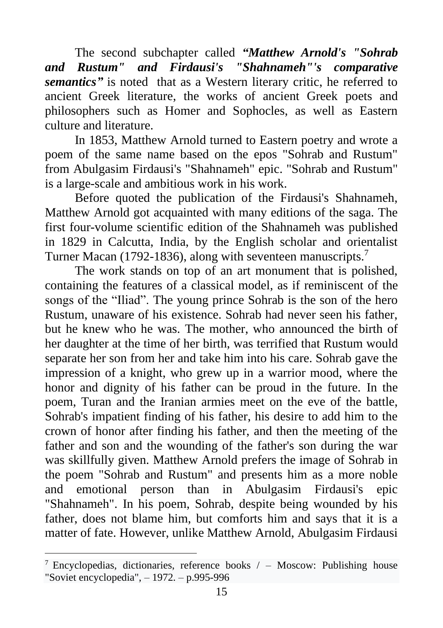The second subchapter called *"Matthew Arnold's "Sohrab and Rustum" and Firdausi's "Shahnameh"'s comparative semantics"* is noted that as a Western literary critic, he referred to ancient Greek literature, the works of ancient Greek poets and philosophers such as Homer and Sophocles, as well as Eastern culture and literature.

In 1853, Matthew Arnold turned to Eastern poetry and wrote a poem of the same name based on the epos "Sohrab and Rustum" from Abulgasim Firdausi's "Shahnameh" epic. "Sohrab and Rustum" is a large-scale and ambitious work in his work.

Before quoted the publication of the Firdausi's Shahnameh, Matthew Arnold got acquainted with many editions of the saga. The first four-volume scientific edition of the Shahnameh was published in 1829 in Calcutta, India, by the English scholar and orientalist Turner Macan (1792-1836), along with seventeen manuscripts.<sup>7</sup>

The work stands on top of an art monument that is polished, containing the features of a classical model, as if reminiscent of the songs of the "Iliad". The young prince Sohrab is the son of the hero Rustum, unaware of his existence. Sohrab had never seen his father, but he knew who he was. The mother, who announced the birth of her daughter at the time of her birth, was terrified that Rustum would separate her son from her and take him into his care. Sohrab gave the impression of a knight, who grew up in a warrior mood, where the honor and dignity of his father can be proud in the future. In the poem, Turan and the Iranian armies meet on the eve of the battle, Sohrab's impatient finding of his father, his desire to add him to the crown of honor after finding his father, and then the meeting of the father and son and the wounding of the father's son during the war was skillfully given. Matthew Arnold prefers the image of Sohrab in the poem "Sohrab and Rustum" and presents him as a more noble and emotional person than in Abulgasim Firdausi's epic "Shahnameh". In his poem, Sohrab, despite being wounded by his father, does not blame him, but comforts him and says that it is a matter of fate. However, unlike Matthew Arnold, Abulgasim Firdausi

<sup>&</sup>lt;sup>7</sup> Encyclopedias, dictionaries, reference books  $/$  – Moscow: Publishing house "Soviet encyclopedia", – 1972. – p.995-996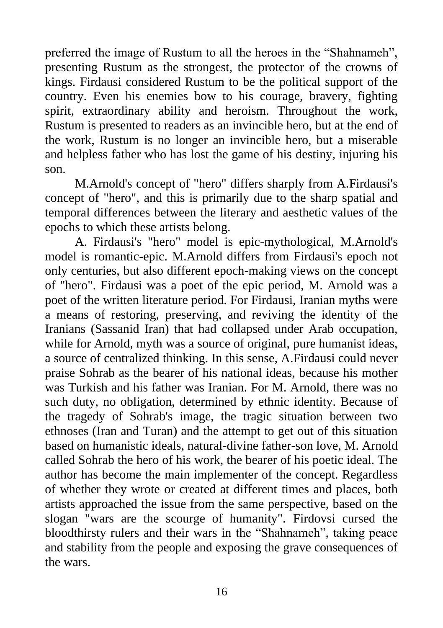preferred the image of Rustum to all the heroes in the "Shahnameh", presenting Rustum as the strongest, the protector of the crowns of kings. Firdausi considered Rustum to be the political support of the country. Even his enemies bow to his courage, bravery, fighting spirit, extraordinary ability and heroism. Throughout the work, Rustum is presented to readers as an invincible hero, but at the end of the work, Rustum is no longer an invincible hero, but a miserable and helpless father who has lost the game of his destiny, injuring his son.

M.Arnold's concept of "hero" differs sharply from A.Firdausi's concept of "hero", and this is primarily due to the sharp spatial and temporal differences between the literary and aesthetic values of the epochs to which these artists belong.

A. Firdausi's "hero" model is epic-mythological, M.Arnold's model is romantic-epic. M.Arnold differs from Firdausi's epoch not only centuries, but also different epoch-making views on the concept of "hero". Firdausi was a poet of the epic period, M. Arnold was a poet of the written literature period. For Firdausi, Iranian myths were a means of restoring, preserving, and reviving the identity of the Iranians (Sassanid Iran) that had collapsed under Arab occupation, while for Arnold, myth was a source of original, pure humanist ideas, a source of centralized thinking. In this sense, A.Firdausi could never praise Sohrab as the bearer of his national ideas, because his mother was Turkish and his father was Iranian. For M. Arnold, there was no such duty, no obligation, determined by ethnic identity. Because of the tragedy of Sohrab's image, the tragic situation between two ethnoses (Iran and Turan) and the attempt to get out of this situation based on humanistic ideals, natural-divine father-son love, M. Arnold called Sohrab the hero of his work, the bearer of his poetic ideal. The author has become the main implementer of the concept. Regardless of whether they wrote or created at different times and places, both artists approached the issue from the same perspective, based on the slogan "wars are the scourge of humanity". Firdovsi cursed the bloodthirsty rulers and their wars in the "Shahnameh", taking peace and stability from the people and exposing the grave consequences of the wars.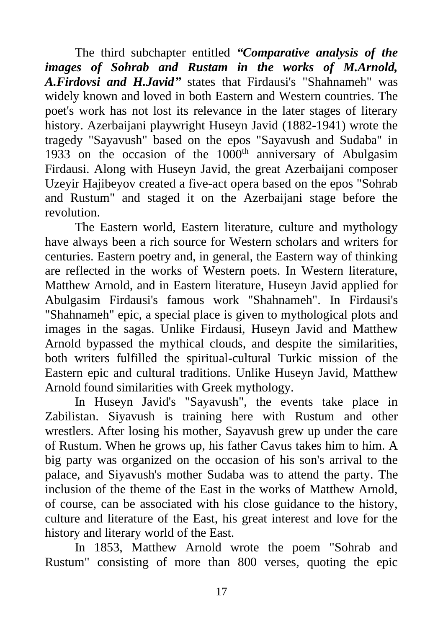The third subchapter entitled *"Comparative analysis of the images of Sohrab and Rustam in the works of M.Arnold, A.Firdovsi and H.Javid"* states that Firdausi's "Shahnameh" was widely known and loved in both Eastern and Western countries. The poet's work has not lost its relevance in the later stages of literary history. Azerbaijani playwright Huseyn Javid (1882-1941) wrote the tragedy "Sayavush" based on the epos "Sayavush and Sudaba" in 1933 on the occasion of the  $1000<sup>th</sup>$  anniversary of Abulgasim Firdausi. Along with Huseyn Javid, the great Azerbaijani composer Uzeyir Hajibeyov created a five-act opera based on the epos "Sohrab and Rustum" and staged it on the Azerbaijani stage before the revolution.

The Eastern world, Eastern literature, culture and mythology have always been a rich source for Western scholars and writers for centuries. Eastern poetry and, in general, the Eastern way of thinking are reflected in the works of Western poets. In Western literature, Matthew Arnold, and in Eastern literature, Huseyn Javid applied for Abulgasim Firdausi's famous work "Shahnameh". In Firdausi's "Shahnameh" epic, a special place is given to mythological plots and images in the sagas. Unlike Firdausi, Huseyn Javid and Matthew Arnold bypassed the mythical clouds, and despite the similarities, both writers fulfilled the spiritual-cultural Turkic mission of the Eastern epic and cultural traditions. Unlike Huseyn Javid, Matthew Arnold found similarities with Greek mythology.

In Huseyn Javid's "Sayavush", the events take place in Zabilistan. Siyavush is training here with Rustum and other wrestlers. After losing his mother, Sayavush grew up under the care of Rustum. When he grows up, his father Cavus takes him to him. A big party was organized on the occasion of his son's arrival to the palace, and Siyavush's mother Sudaba was to attend the party. The inclusion of the theme of the East in the works of Matthew Arnold, of course, can be associated with his close guidance to the history, culture and literature of the East, his great interest and love for the history and literary world of the East.

In 1853, Matthew Arnold wrote the poem "Sohrab and Rustum" consisting of more than 800 verses, quoting the epic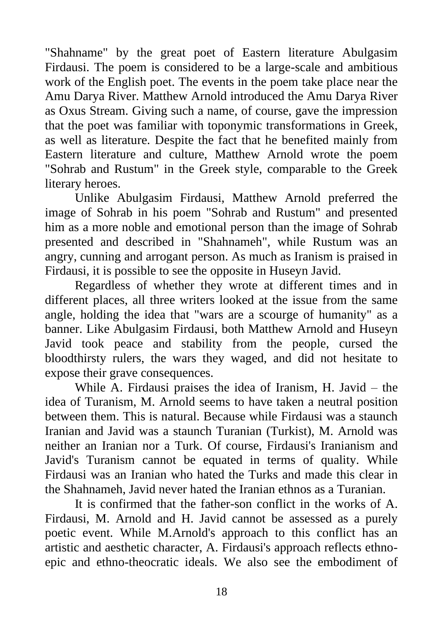"Shahname" by the great poet of Eastern literature Abulgasim Firdausi. The poem is considered to be a large-scale and ambitious work of the English poet. The events in the poem take place near the Amu Darya River. Matthew Arnold introduced the Amu Darya River as Oxus Stream. Giving such a name, of course, gave the impression that the poet was familiar with toponymic transformations in Greek, as well as literature. Despite the fact that he benefited mainly from Eastern literature and culture, Matthew Arnold wrote the poem "Sohrab and Rustum" in the Greek style, comparable to the Greek literary heroes.

Unlike Abulgasim Firdausi, Matthew Arnold preferred the image of Sohrab in his poem "Sohrab and Rustum" and presented him as a more noble and emotional person than the image of Sohrab presented and described in "Shahnameh", while Rustum was an angry, cunning and arrogant person. As much as Iranism is praised in Firdausi, it is possible to see the opposite in Huseyn Javid.

Regardless of whether they wrote at different times and in different places, all three writers looked at the issue from the same angle, holding the idea that "wars are a scourge of humanity" as a banner. Like Abulgasim Firdausi, both Matthew Arnold and Huseyn Javid took peace and stability from the people, cursed the bloodthirsty rulers, the wars they waged, and did not hesitate to expose their grave consequences.

While A. Firdausi praises the idea of Iranism, H. Javid – the idea of Turanism, M. Arnold seems to have taken a neutral position between them. This is natural. Because while Firdausi was a staunch Iranian and Javid was a staunch Turanian (Turkist), M. Arnold was neither an Iranian nor a Turk. Of course, Firdausi's Iranianism and Javid's Turanism cannot be equated in terms of quality. While Firdausi was an Iranian who hated the Turks and made this clear in the Shahnameh, Javid never hated the Iranian ethnos as a Turanian.

It is confirmed that the father-son conflict in the works of A. Firdausi, M. Arnold and H. Javid cannot be assessed as a purely poetic event. While M.Arnold's approach to this conflict has an artistic and aesthetic character, A. Firdausi's approach reflects ethnoepic and ethno-theocratic ideals. We also see the embodiment of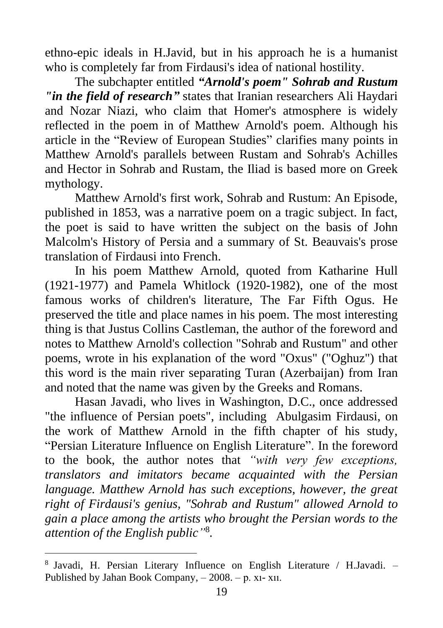ethno-epic ideals in H.Javid, but in his approach he is a humanist who is completely far from Firdausi's idea of national hostility.

The subchapter entitled *"Arnold's poem" Sohrab and Rustum "in the field of research"* states that Iranian researchers Ali Haydari and Nozar Niazi, who claim that Homer's atmosphere is widely reflected in the poem in of Matthew Arnold's poem. Although his article in the "Review of European Studies" clarifies many points in Matthew Arnold's parallels between Rustam and Sohrab's Achilles and Hector in Sohrab and Rustam, the Iliad is based more on Greek mythology.

Matthew Arnold's first work, Sohrab and Rustum: An Episode, published in 1853, was a narrative poem on a tragic subject. In fact, the poet is said to have written the subject on the basis of John Malcolm's History of Persia and a summary of St. Beauvais's prose translation of Firdausi into French.

In his poem Matthew Arnold, quoted from Katharine Hull (1921-1977) and Pamela Whitlock (1920-1982), one of the most famous works of children's literature, The Far Fifth Ogus. He preserved the title and place names in his poem. The most interesting thing is that Justus Collins Castleman, the author of the foreword and notes to Matthew Arnold's collection "Sohrab and Rustum" and other poems, wrote in his explanation of the word "Oxus" ("Oghuz") that this word is the main river separating Turan (Azerbaijan) from Iran and noted that the name was given by the Greeks and Romans.

Hasan Javadi, who lives in Washington, D.C., once addressed "the influence of Persian poets", including Abulgasim Firdausi, on the work of Matthew Arnold in the fifth chapter of his study, "Persian Literature Influence on English Literature". In the foreword to the book, the author notes that *"with very few exceptions, translators and imitators became acquainted with the Persian language. Matthew Arnold has such exceptions, however, the great right of Firdausi's genius, "Sohrab and Rustum" allowed Arnold to gain a place among the artists who brought the Persian words to the attention of the English public"* 8 *.*

<sup>8</sup> Javadi, H. Persian Literary Influence on English Literature / H.Javadi. – Published by Jahan Book Company, – 2008. – p. xı- xıı.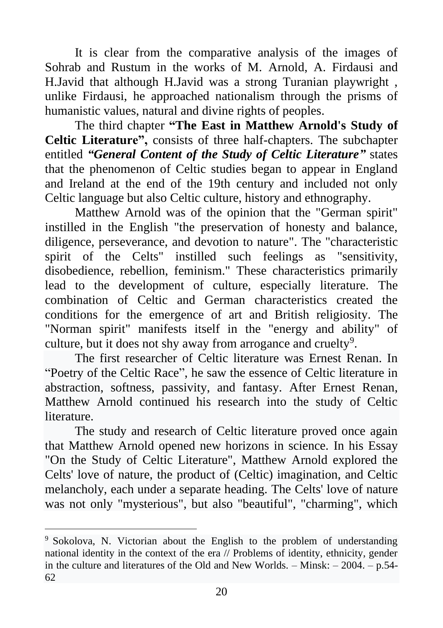It is clear from the comparative analysis of the images of Sohrab and Rustum in the works of M. Arnold, A. Firdausi and H.Javid that although H.Javid was a strong Turanian playwright , unlike Firdausi, he approached nationalism through the prisms of humanistic values, natural and divine rights of peoples.

The third chapter **"The East in Matthew Arnold's Study of Celtic Literature",** consists of three half-chapters. The subchapter entitled *"General Content of the Study of Celtic Literature"* states that the phenomenon of Celtic studies began to appear in England and Ireland at the end of the 19th century and included not only Celtic language but also Celtic culture, history and ethnography.

Matthew Arnold was of the opinion that the "German spirit" instilled in the English "the preservation of honesty and balance, diligence, perseverance, and devotion to nature". The "characteristic spirit of the Celts" instilled such feelings as "sensitivity, disobedience, rebellion, feminism." These characteristics primarily lead to the development of culture, especially literature. The combination of Celtic and German characteristics created the conditions for the emergence of art and British religiosity. The "Norman spirit" manifests itself in the "energy and ability" of culture, but it does not shy away from arrogance and cruelty<sup>9</sup>.

The first researcher of Celtic literature was Ernest Renan. In "Poetry of the Celtic Race", he saw the essence of Celtic literature in abstraction, softness, passivity, and fantasy. After Ernest Renan, Matthew Arnold continued his research into the study of Celtic literature.

The study and research of Celtic literature proved once again that Matthew Arnold opened new horizons in science. In his Essay "On the Study of Celtic Literature", Matthew Arnold explored the Celts' love of nature, the product of (Celtic) imagination, and Celtic melancholy, each under a separate heading. The Celts' love of nature was not only "mysterious", but also "beautiful", "charming", which

<sup>9</sup> Sokolova, N. Victorian about the English to the problem of understanding national identity in the context of the era // Problems of identity, ethnicity, gender in the culture and literatures of the Old and New Worlds. – Minsk: – 2004. – p.54- 62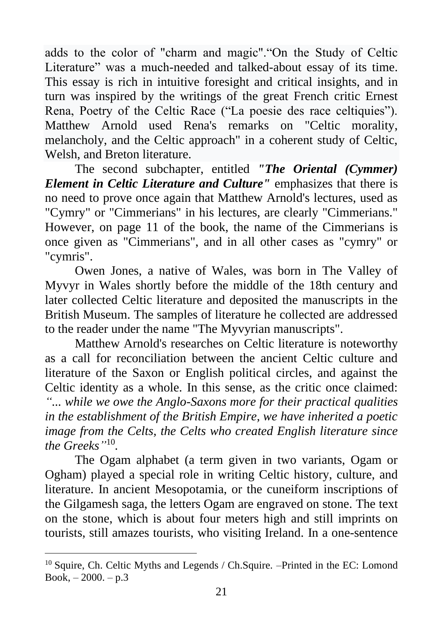adds to the color of "charm and magic"."On the Study of Celtic Literature" was a much-needed and talked-about essay of its time. This essay is rich in intuitive foresight and critical insights, and in turn was inspired by the writings of the great French critic Ernest Rena, Poetry of the Celtic Race ("La poesie des race celtiquies"). Matthew Arnold used Rena's remarks on "Celtic morality, melancholy, and the Celtic approach" in a coherent study of Celtic, Welsh, and Breton literature.

The second subchapter, entitled *"The Oriental (Cymmer) Element in Celtic Literature and Culture"* emphasizes that there is no need to prove once again that Matthew Arnold's lectures, used as "Cymry" or "Cimmerians" in his lectures, are clearly "Cimmerians." However, on page 11 of the book, the name of the Cimmerians is once given as "Cimmerians", and in all other cases as "cymry" or "cymris".

Owen Jones, a native of Wales, was born in The Valley of Myvyr in Wales shortly before the middle of the 18th century and later collected Celtic literature and deposited the manuscripts in the British Museum. The samples of literature he collected are addressed to the reader under the name "The Myvyrian manuscripts".

Matthew Arnold's researches on Celtic literature is noteworthy as a call for reconciliation between the ancient Celtic culture and literature of the Saxon or English political circles, and against the Celtic identity as a whole. In this sense, as the critic once claimed: *"... while we owe the Anglo-Saxons more for their practical qualities in the establishment of the British Empire, we have inherited a poetic image from the Celts, the Celts who created English literature since the Greeks"* 10 *.*

The Ogam alphabet (a term given in two variants, Ogam or Ogham) played a special role in writing Celtic history, culture, and literature. In ancient Mesopotamia, or the cuneiform inscriptions of the Gilgamesh saga, the letters Ogam are engraved on stone. The text on the stone, which is about four meters high and still imprints on tourists, still amazes tourists, who visiting Ireland. In a one-sentence

<sup>10</sup> Squire, Ch. Celtic Myths and Legends / Ch.Squire. –Printed in the EC: Lomond Book,  $-2000 - p.3$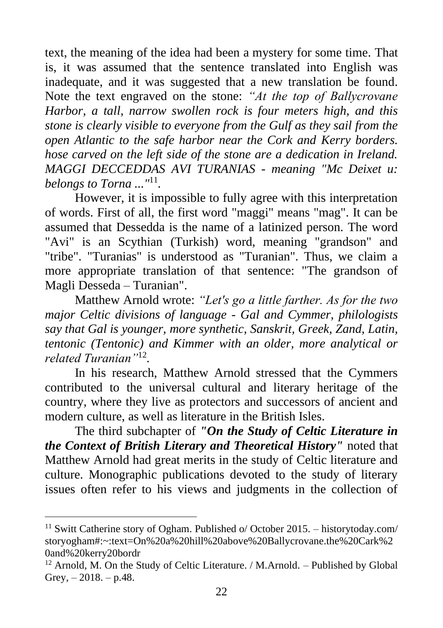text, the meaning of the idea had been a mystery for some time. That is, it was assumed that the sentence translated into English was inadequate, and it was suggested that a new translation be found. Note the text engraved on the stone: *"At the top of Ballycrovane Harbor, a tall, narrow swollen rock is four meters high, and this stone is clearly visible to everyone from the Gulf as they sail from the open Atlantic to the safe harbor near the Cork and Kerry borders. hose carved on the left side of the stone are a dedication in Ireland. MAGGI DECCEDDAS AVI TURANIAS - meaning "Mc Deixet u: belongs to Torna ..."*<sup>11</sup> *.*

However, it is impossible to fully agree with this interpretation of words. First of all, the first word "maggi" means "mag". It can be assumed that Dessedda is the name of a latinized person. The word "Avi" is an Scythian (Turkish) word, meaning "grandson" and "tribe". "Turanias" is understood as "Turanian". Thus, we claim a more appropriate translation of that sentence: "The grandson of Magli Desseda – Turanian".

Matthew Arnold wrote: *"Let's go a little farther. As for the two major Celtic divisions of language - Gal and Cymmer, philologists say that Gal is younger, more synthetic, Sanskrit, Greek, Zand, Latin, tentonic (Tentonic) and Kimmer with an older, more analytical or related Turanian"*<sup>12</sup> *.*

In his research, Matthew Arnold stressed that the Cymmers contributed to the universal cultural and literary heritage of the country, where they live as protectors and successors of ancient and modern culture, as well as literature in the British Isles.

The third subchapter of *"On the Study of Celtic Literature in the Context of British Literary and Theoretical History"* noted that Matthew Arnold had great merits in the study of Celtic literature and culture. Monographic publications devoted to the study of literary issues often refer to his views and judgments in the collection of

<sup>&</sup>lt;sup>11</sup> Switt Catherine story of Ogham. Published o/ October 2015. – historytoday.com/ storyogham#:~:text=On%20a%20hill%20above%20Ballycrovane.the%20Cark%2 0and%20kerry20bordr

<sup>12</sup> Arnold, M. On the Study of Celtic Literature. / M.Arnold. – Published by Global Grey,  $-2018. - p.48$ .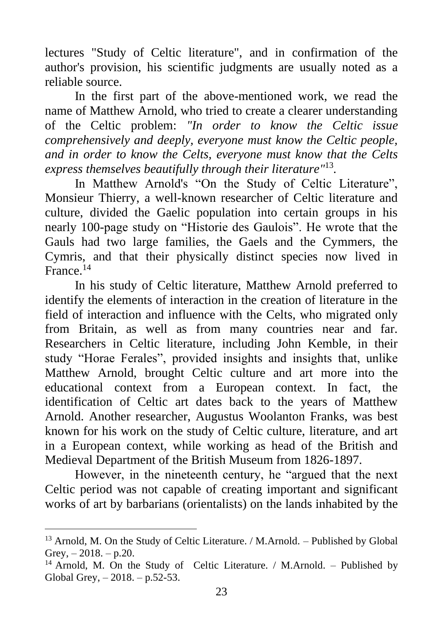lectures "Study of Celtic literature", and in confirmation of the author's provision, his scientific judgments are usually noted as a reliable source.

In the first part of the above-mentioned work, we read the name of Matthew Arnold, who tried to create a clearer understanding of the Celtic problem: *"In order to know the Celtic issue comprehensively and deeply, everyone must know the Celtic people, and in order to know the Celts, everyone must know that the Celts express themselves beautifully through their literature"* 13 *.*

In Matthew Arnold's "On the Study of Celtic Literature", Monsieur Thierry, a well-known researcher of Celtic literature and culture, divided the Gaelic population into certain groups in his nearly 100-page study on "Historie des Gaulois". He wrote that the Gauls had two large families, the Gaels and the Cymmers, the Cymris, and that their physically distinct species now lived in France.<sup>14</sup>

In his study of Celtic literature, Matthew Arnold preferred to identify the elements of interaction in the creation of literature in the field of interaction and influence with the Celts, who migrated only from Britain, as well as from many countries near and far. Researchers in Celtic literature, including John Kemble, in their study "Horae Ferales", provided insights and insights that, unlike Matthew Arnold, brought Celtic culture and art more into the educational context from a European context. In fact, the identification of Celtic art dates back to the years of Matthew Arnold. Another researcher, Augustus Woolanton Franks, was best known for his work on the study of Celtic culture, literature, and art in a European context, while working as head of the British and Medieval Department of the British Museum from 1826-1897.

However, in the nineteenth century, he "argued that the next Celtic period was not capable of creating important and significant works of art by barbarians (orientalists) on the lands inhabited by the

<sup>&</sup>lt;sup>13</sup> Arnold, M. On the Study of Celtic Literature. / M.Arnold. – Published by Global Grey,  $-2018. - p.20$ .

<sup>&</sup>lt;sup>14</sup> Arnold, M. On the Study of Celtic Literature. / M.Arnold. – Published by Global Grey, – 2018. – p.52-53.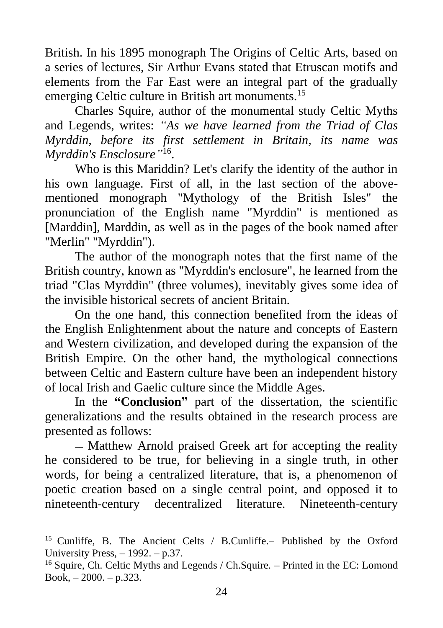British. In his 1895 monograph The Origins of Celtic Arts, based on a series of lectures, Sir Arthur Evans stated that Etruscan motifs and elements from the Far East were an integral part of the gradually emerging Celtic culture in British art monuments.<sup>15</sup>

Charles Squire, author of the monumental study Celtic Myths and Legends, writes: *"As we have learned from the Triad of Clas Myrddin, before its first settlement in Britain, its name was Myrddin's Ensclosure"* 16 .

Who is this Mariddin? Let's clarify the identity of the author in his own language. First of all, in the last section of the abovementioned monograph "Mythology of the British Isles" the pronunciation of the English name "Myrddin" is mentioned as [Marddin], Marddin, as well as in the pages of the book named after "Merlin" "Myrddin").

The author of the monograph notes that the first name of the British country, known as "Myrddin's enclosure", he learned from the triad "Clas Myrddin" (three volumes), inevitably gives some idea of the invisible historical secrets of ancient Britain.

On the one hand, this connection benefited from the ideas of the English Enlightenment about the nature and concepts of Eastern and Western civilization, and developed during the expansion of the British Empire. On the other hand, the mythological connections between Celtic and Eastern culture have been an independent history of local Irish and Gaelic culture since the Middle Ages.

In the **"Conclusion"** part of the dissertation, the scientific generalizations and the results obtained in the research process are presented as follows:

˗˗ Matthew Arnold praised Greek art for accepting the reality he considered to be true, for believing in a single truth, in other words, for being a centralized literature, that is, a phenomenon of poetic creation based on a single central point, and opposed it to nineteenth-century decentralized literature. Nineteenth-century

<sup>15</sup> Cunliffe, B. The Ancient Celts / B.Cunliffe.– Published by the Oxford University Press,  $-1992$ .  $- p.37$ .

<sup>&</sup>lt;sup>16</sup> Squire, Ch. Celtic Myths and Legends / Ch. Squire. – Printed in the EC: Lomond Book, – 2000. – p.323.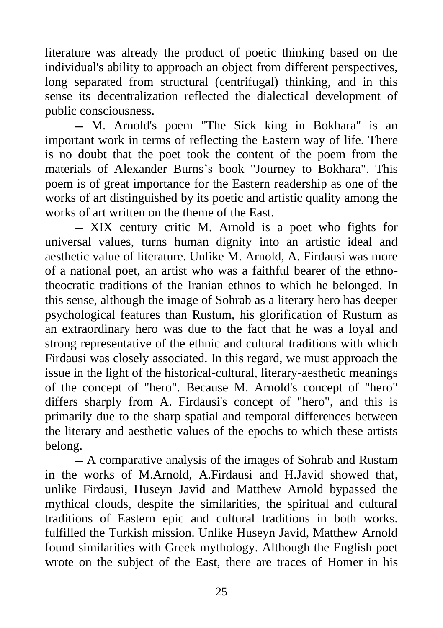literature was already the product of poetic thinking based on the individual's ability to approach an object from different perspectives, long separated from structural (centrifugal) thinking, and in this sense its decentralization reflected the dialectical development of public consciousness.

- M. Arnold's poem "The Sick king in Bokhara" is an important work in terms of reflecting the Eastern way of life. There is no doubt that the poet took the content of the poem from the materials of Alexander Burns's book "Journey to Bokhara". This poem is of great importance for the Eastern readership as one of the works of art distinguished by its poetic and artistic quality among the works of art written on the theme of the East.

˗˗ XIX century critic M. Arnold is a poet who fights for universal values, turns human dignity into an artistic ideal and aesthetic value of literature. Unlike M. Arnold, A. Firdausi was more of a national poet, an artist who was a faithful bearer of the ethnotheocratic traditions of the Iranian ethnos to which he belonged. In this sense, although the image of Sohrab as a literary hero has deeper psychological features than Rustum, his glorification of Rustum as an extraordinary hero was due to the fact that he was a loyal and strong representative of the ethnic and cultural traditions with which Firdausi was closely associated. In this regard, we must approach the issue in the light of the historical-cultural, literary-aesthetic meanings of the concept of "hero". Because M. Arnold's concept of "hero" differs sharply from A. Firdausi's concept of "hero", and this is primarily due to the sharp spatial and temporal differences between the literary and aesthetic values of the epochs to which these artists belong.

˗˗ A comparative analysis of the images of Sohrab and Rustam in the works of M.Arnold, A.Firdausi and H.Javid showed that, unlike Firdausi, Huseyn Javid and Matthew Arnold bypassed the mythical clouds, despite the similarities, the spiritual and cultural traditions of Eastern epic and cultural traditions in both works. fulfilled the Turkish mission. Unlike Huseyn Javid, Matthew Arnold found similarities with Greek mythology. Although the English poet wrote on the subject of the East, there are traces of Homer in his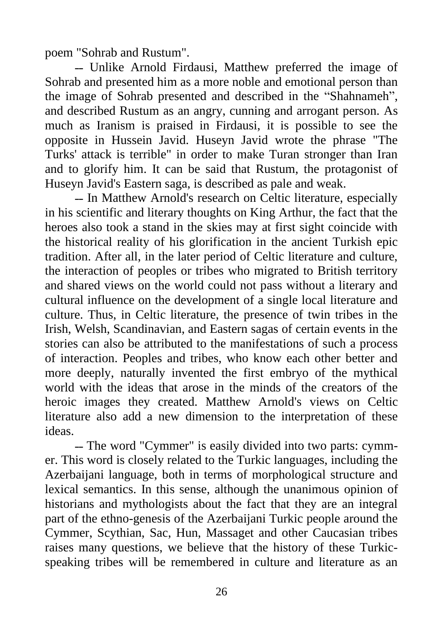poem "Sohrab and Rustum".

˗˗ Unlike Arnold Firdausi, Matthew preferred the image of Sohrab and presented him as a more noble and emotional person than the image of Sohrab presented and described in the "Shahnameh", and described Rustum as an angry, cunning and arrogant person. As much as Iranism is praised in Firdausi, it is possible to see the opposite in Hussein Javid. Huseyn Javid wrote the phrase "The Turks' attack is terrible" in order to make Turan stronger than Iran and to glorify him. It can be said that Rustum, the protagonist of Huseyn Javid's Eastern saga, is described as pale and weak.

-- In Matthew Arnold's research on Celtic literature, especially in his scientific and literary thoughts on King Arthur, the fact that the heroes also took a stand in the skies may at first sight coincide with the historical reality of his glorification in the ancient Turkish epic tradition. After all, in the later period of Celtic literature and culture, the interaction of peoples or tribes who migrated to British territory and shared views on the world could not pass without a literary and cultural influence on the development of a single local literature and culture. Thus, in Celtic literature, the presence of twin tribes in the Irish, Welsh, Scandinavian, and Eastern sagas of certain events in the stories can also be attributed to the manifestations of such a process of interaction. Peoples and tribes, who know each other better and more deeply, naturally invented the first embryo of the mythical world with the ideas that arose in the minds of the creators of the heroic images they created. Matthew Arnold's views on Celtic literature also add a new dimension to the interpretation of these ideas.

˗˗ The word "Cymmer" is easily divided into two parts: cymmer. This word is closely related to the Turkic languages, including the Azerbaijani language, both in terms of morphological structure and lexical semantics. In this sense, although the unanimous opinion of historians and mythologists about the fact that they are an integral part of the ethno-genesis of the Azerbaijani Turkic people around the Cymmer, Scythian, Sac, Hun, Massaget and other Caucasian tribes raises many questions, we believe that the history of these Turkicspeaking tribes will be remembered in culture and literature as an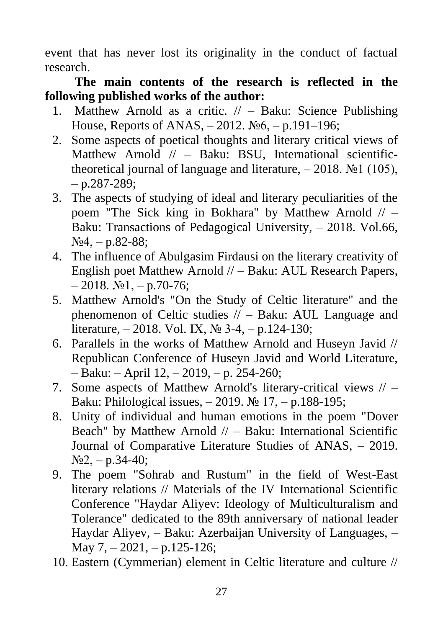event that has never lost its originality in the conduct of factual research.

**The main contents of the research is reflected in the following published works of the author:**

- 1. Matthew Arnold as a critic. // Baku: Science Publishing House, Reports of ANAS, – 2012. №6, – p.191–196;
- 2. Some aspects of poetical thoughts and literary critical views of Matthew Arnold // - Baku: BSU, International scientifictheoretical journal of language and literature,  $-2018$ . No  $1(105)$ ,  $-$  p.287-289;
- 3. The aspects of studying of ideal and literary peculiarities of the poem "The Sick king in Bokhara" by Matthew Arnold // – Baku: Transactions of Pedagogical University, – 2018. Vol.66,  $N_2$ 4, – p.82-88;
- 4. The influence of Abulgasim Firdausi on the literary creativity of English poet Matthew Arnold // – Baku: AUL Research Papers,  $-2018.$  No  $1, -p.70-76$ ;
- 5. Matthew Arnold's "On the Study of Celtic literature" and the phenomenon of Celtic studies // – Baku: AUL Language and literature, – 2018. Vol. IX, № 3-4, – p.124-130;
- 6. Parallels in the works of Matthew Arnold and Huseyn Javid // Republican Conference of Huseyn Javid and World Literature, – Baku: – April 12, – 2019, – p. 254-260;
- 7. Some aspects of Matthew Arnold's literary-critical views // Baku: Philological issues,  $-2019$ . № 17,  $-$  p.188-195;
- 8. Unity of individual and human emotions in the poem "Dover Beach" by Matthew Arnold  $//$  – Baku: International Scientific Journal of Comparative Literature Studies of ANAS, – 2019.  $N_2$ , – p.34-40;
- 9. The poem "Sohrab and Rustum" in the field of West-East literary relations // Materials of the IV International Scientific Conference "Haydar Aliyev: Ideology of Multiculturalism and Tolerance" dedicated to the 89th anniversary of national leader Haydar Aliyev, – Baku: Azerbaijan University of Languages, – May  $7, -2021, -p.125-126$ ;
- 10. Eastern (Cymmerian) element in Celtic literature and culture //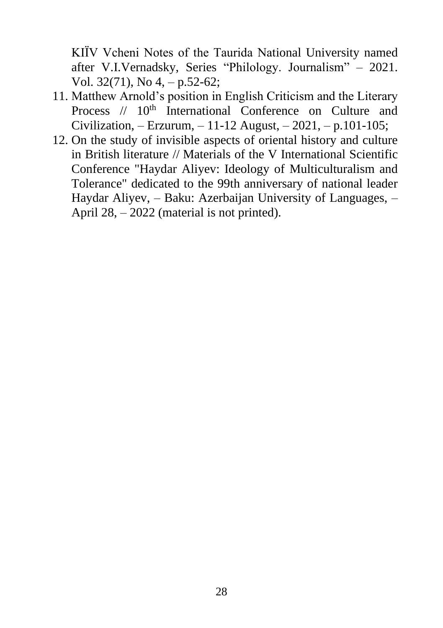KIÏV Vcheni Notes of the Taurida National University named after V.I.Vernadsky, Series "Philology. Journalism" – 2021. Vol. 32(71), No 4, – p.52-62;

- 11. Matthew Arnold's position in English Criticism and the Literary Process  $// 10<sup>th</sup> International Conference on Culture and$ Civilization, – Erzurum, – 11-12 August, – 2021, – p.101-105;
- 12. On the study of invisible aspects of oriental history and culture in British literature // Materials of the V International Scientific Conference "Haydar Aliyev: Ideology of Multiculturalism and Tolerance" dedicated to the 99th anniversary of national leader Haydar Aliyev, – Baku: Azerbaijan University of Languages, – April 28, – 2022 (material is not printed).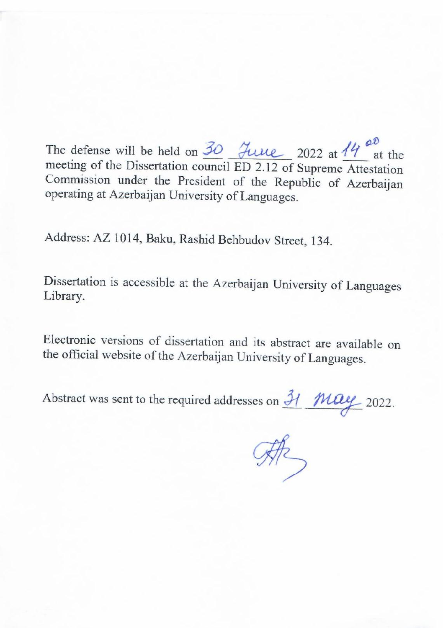The defense will be held on  $\frac{30}{2}$   $\frac{30}{2}$   $\frac{30}{2}$   $\frac{302}{2}$  at  $\frac{14}{9}$   $\frac{60}{4}$  at the meeting of the Dissertation council ED 2.12 of Supreme Attestation Commission under the President of the Republic of Azerbaijan operating at Azerbaijan University of Languages.

Address: AZ 1014, Baku, Rashid Behbudov Street, 134.

Dissertation is accessible at the Azerbaijan University of Languages Library.

Electronic versions of dissertation and its abstract are available on the official website of the Azerbaijan University of Languages.

Abstract was sent to the required addresses on  $\frac{31}{11}$  May 2022.